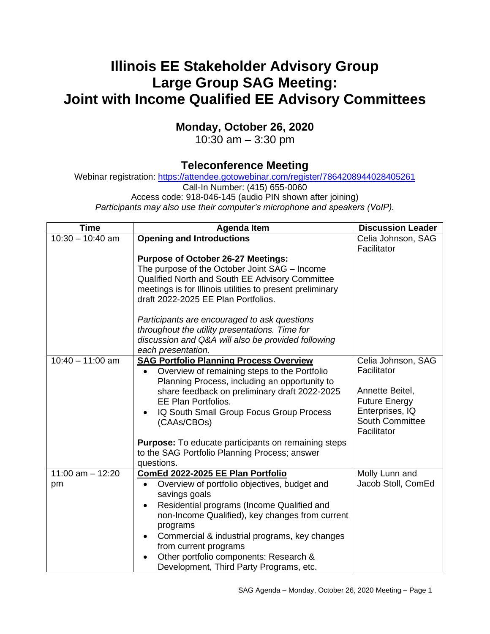## **Illinois EE Stakeholder Advisory Group Large Group SAG Meeting: Joint with Income Qualified EE Advisory Committees**

## **Monday, October 26, 2020**

10:30 am – 3:30 pm

## **Teleconference Meeting**

Webinar registration: <https://attendee.gotowebinar.com/register/7864208944028405261>

Call-In Number: (415) 655-0060

Access code: 918-046-145 (audio PIN shown after joining)

*Participants may also use their computer's microphone and speakers (VoIP).*

| <b>Time</b>        | <b>Agenda Item</b>                                                                                           | <b>Discussion Leader</b>           |
|--------------------|--------------------------------------------------------------------------------------------------------------|------------------------------------|
| $10:30 - 10:40$ am | <b>Opening and Introductions</b>                                                                             | Celia Johnson, SAG                 |
|                    |                                                                                                              | Facilitator                        |
|                    | <b>Purpose of October 26-27 Meetings:</b>                                                                    |                                    |
|                    | The purpose of the October Joint SAG - Income                                                                |                                    |
|                    | Qualified North and South EE Advisory Committee<br>meetings is for Illinois utilities to present preliminary |                                    |
|                    | draft 2022-2025 EE Plan Portfolios.                                                                          |                                    |
|                    | Participants are encouraged to ask questions                                                                 |                                    |
|                    | throughout the utility presentations. Time for                                                               |                                    |
|                    | discussion and Q&A will also be provided following<br>each presentation.                                     |                                    |
| $10:40 - 11:00$ am | <b>SAG Portfolio Planning Process Overview</b>                                                               | Celia Johnson, SAG                 |
|                    | Overview of remaining steps to the Portfolio                                                                 | Facilitator                        |
|                    | Planning Process, including an opportunity to                                                                |                                    |
|                    | share feedback on preliminary draft 2022-2025                                                                | Annette Beitel,                    |
|                    | <b>EE Plan Portfolios.</b>                                                                                   | <b>Future Energy</b>               |
|                    | IQ South Small Group Focus Group Process                                                                     | Enterprises, IQ<br>South Committee |
|                    | (CAAs/CBOs)                                                                                                  | Facilitator                        |
|                    | <b>Purpose:</b> To educate participants on remaining steps                                                   |                                    |
|                    | to the SAG Portfolio Planning Process; answer                                                                |                                    |
|                    | questions.                                                                                                   |                                    |
| 11:00 am $-$ 12:20 | ComEd 2022-2025 EE Plan Portfolio                                                                            | Molly Lunn and                     |
| pm                 | Overview of portfolio objectives, budget and<br>$\bullet$                                                    | Jacob Stoll, ComEd                 |
|                    | savings goals                                                                                                |                                    |
|                    | Residential programs (Income Qualified and<br>$\bullet$                                                      |                                    |
|                    | non-Income Qualified), key changes from current<br>programs                                                  |                                    |
|                    | Commercial & industrial programs, key changes<br>$\bullet$<br>from current programs                          |                                    |
|                    | Other portfolio components: Research &<br>$\bullet$                                                          |                                    |
|                    | Development, Third Party Programs, etc.                                                                      |                                    |